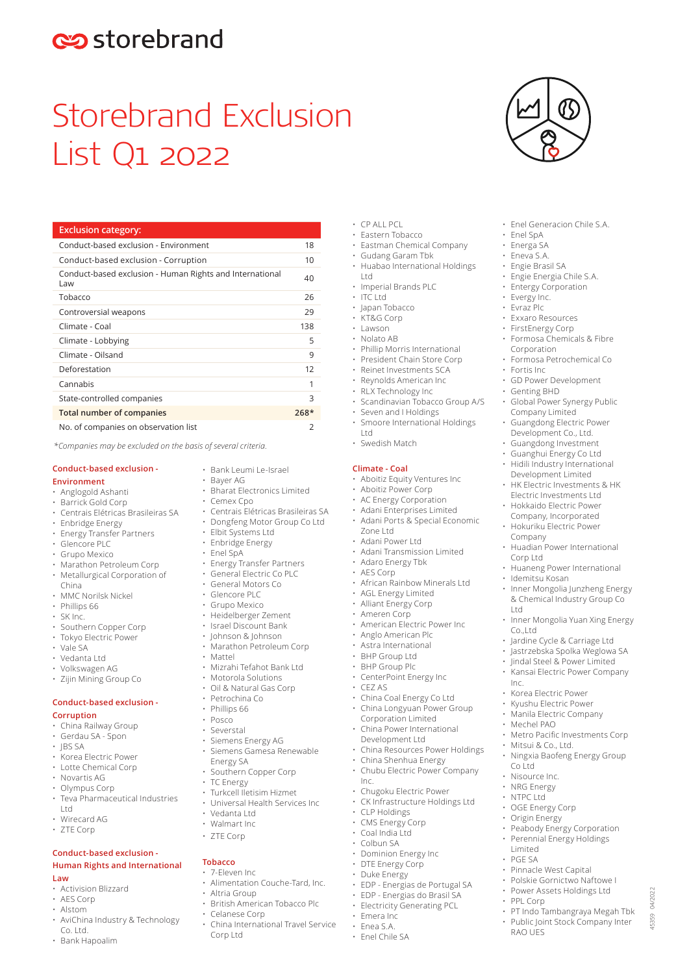# estorebrand

# Storebrand Exclusion List Q1 2022

| <b>Exclusion category:</b>                                      |        |
|-----------------------------------------------------------------|--------|
| Conduct-based exclusion - Environment                           | 18     |
| Conduct-based exclusion - Corruption                            | 10     |
| Conduct-based exclusion - Human Rights and International<br>Law | 40     |
| Tobacco                                                         | 26     |
| Controversial weapons                                           | 29     |
| Climate - Coal                                                  | 138    |
| Climate - Lobbying                                              | 5      |
| Climate - Oilsand                                               | 9      |
| Deforestation                                                   | 12     |
| Cannabis                                                        | 1      |
| State-controlled companies                                      | 3      |
| <b>Total number of companies</b>                                | $268*$ |
| No. of companies on observation list                            | 2      |

*\*Companies may be excluded on the basis of several criteria.* 

# **Conduct-based exclusion -**

- **Environment**
- Anglogold Ashanti
- Barrick Gold Corp
- Centrais Elétricas Brasileiras SA
- Enbridge Energy
- Energy Transfer Partners
- Glencore PLC
- Grupo Mexico
- Marathon Petroleum Corp • Metallurgical Corporation of
- China
- MMC Norilsk Nickel
- Phillips 66
- SK Inc.
- Southern Copper Corp
- Tokyo Electric Power • Vale SA
- Vedanta Ltd
- Volkswagen AG
- Zijin Mining Group Co
- 

#### **Conduct-based exclusion - Corruption**

- China Railway Group
- Gerdau SA Spon
- JBS SA<br>• Korea
- Korea Electric Power • Lotte Chemical Corp
- Novartis AG
- Olympus Corp
- Teva Pharmaceutical Industries Ltd
- Wirecard AG
- ZTE Corp
- 

## **Conduct-based exclusion - Human Rights and International**

#### **Law**

- Activision Blizzard
- AES Corp
- Alstom
- AviChina Industry & Technology Co. Ltd.
- Bank Hapoalim
- Bank Leumi Le-Israel
- Bayer AG<br>• Bharat Fle • Bharat Electronics Limited
- Cemex Cpo
- Centrais Elétricas Brasileiras SA
- Dongfeng Motor Group Co Ltd
	- Elbit Systems Ltd
- Enbridge Energy
- Enel SpA
- 
- Energy Transfer Partners<br>• General Flectric Co PLC General Electric Co PLC
- General Motors Co
- Glencore PLC
- Grupo Mexico
- Heidelberger Zement
- Israel Discount Bank
- Johnson & Johnson
- Marathon Petroleum Corp
- Mattel
- Mizrahi Tefahot Bank Ltd
- Motorola Solutions
	- Oil & Natural Gas Corp
- Petrochina Co
- Phillips 66
- Posco
- Severstal
- Siemens Energy AG • Siemens Gamesa Renewable
- Energy SA
- Southern Copper Corp
- TC Energy
- Turkcell Iletisim Hizmet
- Universal Health Services Inc • Vedanta Ltd
- Walmart Inc
- 
- ZTE Corp

# **Tobacco**

- 7-Eleven Inc
- Alimentation Couche-Tard, Inc.
	- Altria Group
- British American Tobacco Plc
- Celanese Corp
- China International Travel Service Corp Ltd

• Imperial Brands PLC • Japan Tobacco

• Enel Generacion Chile S.A.

• Enel SpA • Energa SA • Eneva S.A. • Engie Brasil SA<br>• Engie Energia • Engie Energia Chile S.A. **Entergy Corporation** • Evergy Inc. • Evraz Plc • Exxaro Resources<br>• FirstEpergy Corp • FirstEnergy Corp • Formosa Chemicals & Fibre

Corporation

• Genting BHD

Company

Corp Ltd

Ltd

Inc.

Co.,Ltd

• Idemitsu Kosan

• Fortis Inc<br>• GD Powe

• Formosa Petrochemical Co

• GD Power Development

• Global Power Synergy Public Company Limited • Guangdong Electric Power Development Co., Ltd. • Guangdong Investment • Guanghui Energy Co Ltd • Hidili Industry International Development Limited • HK Electric Investments & HK Electric Investments Ltd • Hokkaido Electric Power Company, Incorporated • Hokuriku Electric Power

• Huadian Power International

• Huaneng Power International

• Inner Mongolia Junzheng Energy & Chemical Industry Group Co

• Inner Mongolia Yuan Xing Energy

• Metro Pacific Investments Corp

• Ningxia Baofeng Energy Group

Peabody Energy Corporation Perennial Energy Holdings

• PT Indo Tambangraya Megah Tbk Public Joint Stock Company Inter

45359 04/2022

04/2022 15359

• Pinnacle West Capital • Polskie Gornictwo Naftowe I Power Assets Holdings Ltd

• Jardine Cycle & Carriage Ltd • Jastrzebska Spolka Weglowa SA • Jindal Steel & Power Limited • Kansai Electric Power Company

• Korea Electric Power • Kyushu Electric Power • Manila Electric Company

• Mechel PAO

Co Ltd • Nisource Inc. • NRG Energy • NTPC Ltd • OGE Energy Corp • Origin Energy

Limited PGE SA

• PPL Corp

RAO UES

• Mitsui & Co., Ltd.

• KT&G Corp

 $\cdot$  CP ALL PCL • Eastern Tobacco

• Lawson

Ltd

 $\cdot$  ITC Ltd

- Nolato AB
- Phillip Morris International

• Eastman Chemical Company • Gudang Garam Tbk

• Huabao International Holdings

- President Chain Store Corp
- Reinet Investments SCA
- Reynolds American Inc
- RLX Technology Inc
- Scandinavian Tobacco Group A/S
- Seven and I Holdings
- Smoore International Holdings Ltd
- Swedish Match

#### **Climate - Coal**

Zone Ltd • Adani Power Ltd

• CEZ AS

Inc.

• Aboitiz Equity Ventures Inc

• Adani Ports & Special Economic

• Adani Transmission Limited

• African Rainbow Minerals Ltd • AGL Energy Limited • Alliant Energy Corp • Ameren Corp

• American Electric Power Inc • Anglo American Plc • Astra International • BHP Group Ltd • BHP Group Plc • CenterPoint Energy Inc

• China Coal Energy Co Ltd • China Longyuan Power Group Corporation Limited • China Power International Development Ltd

• Chugoku Electric Power CK Infrastructure Holdings Ltd

• EDP - Energias de Portugal SA • EDP - Energias do Brasil SA • Electricity Generating PCL

• CLP Holdings • CMS Energy Corp • Coal India Ltd • Colbun SA • Dominion Energy Inc • DTE Energy Corp • Duke Energy

• Emera Inc • Enea S.A. • Enel Chile SA

• China Resources Power Holdings • China Shenhua Energy • Chubu Electric Power Company

- Aboitiz Power Corp
- AC Energy Corporation • Adani Enterprises Limited

• Adaro Energy Tbk • AES Corp